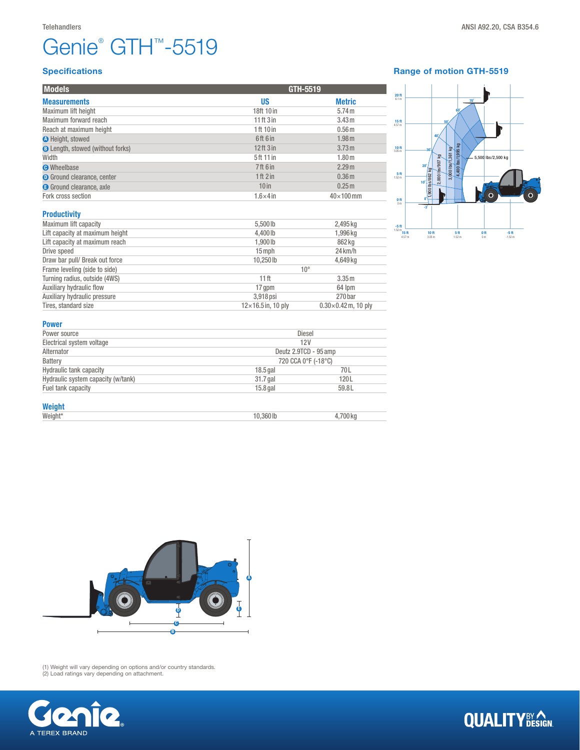# Genie® GTH™-5519

| <b>Models</b>                           |                           | GTH-5519                   |  |  |
|-----------------------------------------|---------------------------|----------------------------|--|--|
| <b>Measurements</b>                     | <b>US</b>                 | <b>Metric</b>              |  |  |
| Maximum lift height                     | 18ft 10 in                | 5.74 m                     |  |  |
| Maximum forward reach                   | $11$ ft $3$ in            | 3.43 <sub>m</sub>          |  |  |
| Reach at maximum height                 | 1 ft 10 in                | 0.56 <sub>m</sub>          |  |  |
| <b>O</b> Height, stowed                 | 6ft 6 in                  | 1.98 <sub>m</sub>          |  |  |
| <b>B</b> Length, stowed (without forks) | $12$ ft $3$ in            | 3.73 m                     |  |  |
| Width                                   | 5ft 11 in                 | 1.80 <sub>m</sub>          |  |  |
| <b>O</b> Wheelbase                      | <b>7ft 6 in</b>           | 2.29 <sub>m</sub>          |  |  |
| <b>O</b> Ground clearance, center       | 1ft 2in                   | 0.36 <sub>m</sub>          |  |  |
| <b>B</b> Ground clearance, axle         | $10$ in                   | 0.25 <sub>m</sub>          |  |  |
| Fork cross section                      | $1.6\times4$ in           | $40\times100$ mm           |  |  |
| <b>Productivity</b>                     |                           |                            |  |  |
| Maximum lift capacity                   | 5,500 lb                  | 2,495 kg                   |  |  |
| Lift capacity at maximum height         | 4,400 lb                  | 1,996 kg                   |  |  |
| Lift capacity at maximum reach          | 1,900 lb                  | 862 kg                     |  |  |
| Drive speed                             | 15 mph                    | $24$ km/h                  |  |  |
| Draw bar pull/ Break out force          | 10,250 lb                 | 4,649 kg                   |  |  |
| Frame leveling (side to side)           | $10^{\circ}$              |                            |  |  |
| Turning radius, outside (4WS)           | 11 <sup>ft</sup>          | 3.35 <sub>m</sub>          |  |  |
| Auxiliary hydraulic flow                | 17 gpm                    | 64 lpm                     |  |  |
| Auxiliary hydraulic pressure            | 3,918 psi                 | 270 bar                    |  |  |
| Tires, standard size                    | $12\times16.5$ in, 10 ply | $0.30\times0.42$ m, 10 ply |  |  |



### Power

| .                                  |                       |          |  |
|------------------------------------|-----------------------|----------|--|
| Power source                       | Diesel                |          |  |
| Electrical system voltage          | 12V                   |          |  |
| Alternator                         | Deutz 2.9TCD - 95 amp |          |  |
| Battery                            | 720 CCA 0°F (-18°C)   |          |  |
| <b>Hydraulic tank capacity</b>     | $18.5$ gal            | 70L      |  |
| Hydraulic system capacity (w/tank) | 31.7 gal              | 120L     |  |
| Fuel tank capacity                 | $15.8$ gal            | 59.8L    |  |
| <b>Weight</b>                      |                       |          |  |
| Weight*                            | 10.360 lb             | 4,700 kg |  |



(1) Weight will vary depending on options and/or country standards. (2) Load ratings vary depending on attachment.